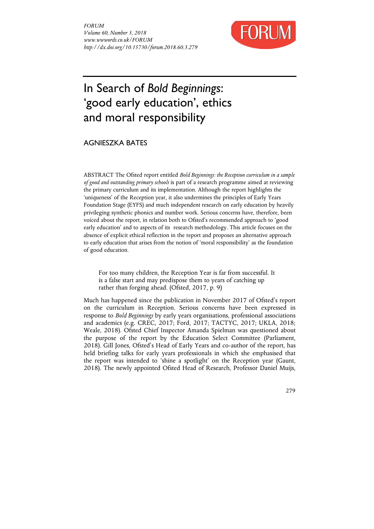

# In Search of *Bold Beginnings*: 'good early education', ethics and moral responsibility

AGNIESZKA BATES

ABSTRACT The Ofsted report entitled *Bold Beginnings: the Reception curriculum in a sample of good and outstanding primary schools* is part of a research programme aimed at reviewing the primary curriculum and its implementation. Although the report highlights the 'uniqueness' of the Reception year, it also undermines the principles of Early Years Foundation Stage (EYFS) and much independent research on early education by heavily privileging synthetic phonics and number work. Serious concerns have, therefore, been voiced about the report, in relation both to Ofsted's recommended approach to 'good early education' and to aspects of its research methodology. This article focuses on the absence of explicit ethical reflection in the report and proposes an alternative approach to early education that arises from the notion of 'moral responsibility' as the foundation of good education.

For too many children, the Reception Year is far from successful. It is a false start and may predispose them to years of catching up rather than forging ahead. (Ofsted, 2017, p. 9)

Much has happened since the publication in November 2017 of Ofsted's report on the curriculum in Reception. Serious concerns have been expressed in response to *Bold Beginnings* by early years organisations, professional associations and academics (e.g. CREC, 2017; Ford, 2017; TACTYC, 2017; UKLA, 2018; Weale, 2018). Ofsted Chief Inspector Amanda Spielman was questioned about the purpose of the report by the Education Select Committee (Parliament, 2018). Gill Jones, Ofsted's Head of Early Years and co-author of the report, has held briefing talks for early years professionals in which she emphasised that the report was intended to 'shine a spotlight' on the Reception year (Gaunt, 2018). The newly appointed Ofsted Head of Research, Professor Daniel Muijs,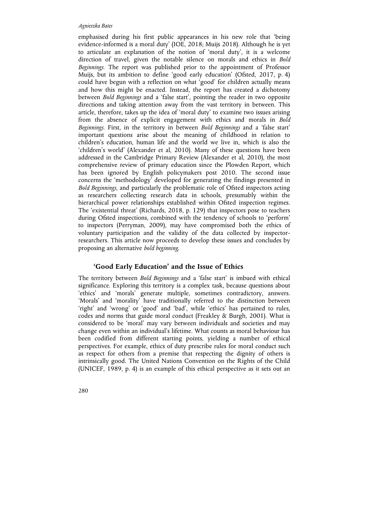emphasised during his first public appearances in his new role that 'being evidence-informed is a moral duty' (IOE, 2018; Muijs 2018). Although he is yet to articulate an explanation of the notion of 'moral duty', it is a welcome direction of travel, given the notable silence on morals and ethics in *Bold Beginnings*. The report was published prior to the appointment of Professor Muijs, but its ambition to define 'good early education' (Ofsted, 2017, p. 4) could have begun with a reflection on what 'good' for children actually means and how this might be enacted. Instead, the report has created a dichotomy between *Bold Beginnings* and a 'false start', pointing the reader in two opposite directions and taking attention away from the vast territory in between. This article, therefore, takes up the idea of 'moral duty' to examine two issues arising from the absence of explicit engagement with ethics and morals in *Bold Beginnings*. First, in the territory in between *Bold Beginnings* and a 'false start' important questions arise about the meaning of childhood in relation to children's education, human life and the world we live in, which is also the 'children's world' (Alexander et al, 2010). Many of these questions have been addressed in the Cambridge Primary Review (Alexander et al, 2010), the most comprehensive review of primary education since the Plowden Report, which has been ignored by English policymakers post 2010. The second issue concerns the 'methodology' developed for generating the findings presented in *Bold Beginnings*, and particularly the problematic role of Ofsted inspectors acting as researchers collecting research data in schools, presumably within the hierarchical power relationships established within Ofsted inspection regimes. The 'existential threat' (Richards, 2018, p. 129) that inspectors pose to teachers during Ofsted inspections, combined with the tendency of schools to 'perform' to inspectors (Perryman, 2009), may have compromised both the ethics of voluntary participation and the validity of the data collected by inspectorresearchers. This article now proceeds to develop these issues and concludes by proposing an alternative *bold beginning*.

## **'Good Early Education' and the Issue of Ethics**

The territory between *Bold Beginnings* and a 'false start' is imbued with ethical significance. Exploring this territory is a complex task, because questions about 'ethics' and 'morals' generate multiple, sometimes contradictory, answers. 'Morals' and 'morality' have traditionally referred to the distinction between 'right' and 'wrong' or 'good' and 'bad', while 'ethics' has pertained to rules, codes and norms that guide moral conduct (Freakley & Burgh, 2001). What is considered to be 'moral' may vary between individuals and societies and may change even within an individual's lifetime. What counts as moral behaviour has been codified from different starting points, yielding a number of ethical perspectives. For example, ethics of duty prescribe rules for moral conduct such as respect for others from a premise that respecting the dignity of others is intrinsically good. The United Nations Convention on the Rights of the Child (UNICEF, 1989, p. 4) is an example of this ethical perspective as it sets out an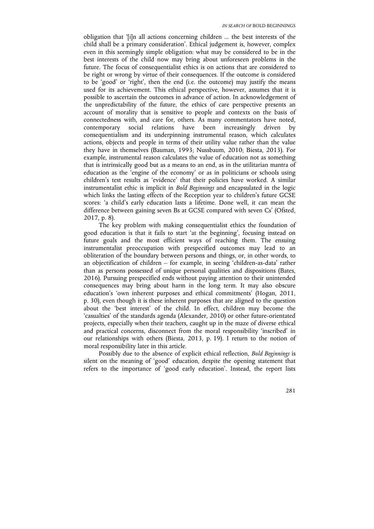obligation that '[i]n all actions concerning children ... the best interests of the child shall be a primary consideration'. Ethical judgement is, however, complex even in this seemingly simple obligation: what may be considered to be in the best interests of the child now may bring about unforeseen problems in the future. The focus of consequentialist ethics is on actions that are considered to be right or wrong by virtue of their consequences. If the outcome is considered to be 'good' or 'right', then the end (i.e. the outcome) may justify the means used for its achievement. This ethical perspective, however, assumes that it is possible to ascertain the outcomes in advance of action. In acknowledgement of the unpredictability of the future, the ethics of care perspective presents an account of morality that is sensitive to people and contexts on the basis of connectedness with, and care for, others. As many commentators have noted, contemporary social relations have been increasingly driven by consequentialism and its underpinning instrumental reason, which calculates actions, objects and people in terms of their utility value rather than the value they have in themselves (Bauman, 1993; Nussbaum, 2010; Biesta, 2013). For example, instrumental reason calculates the value of education not as something that is intrinsically good but as a means to an end, as in the utilitarian mantra of education as the 'engine of the economy' or as in politicians or schools using children's test results as 'evidence' that their policies have worked. A similar instrumentalist ethic is implicit in *Bold Beginnings* and encapsulated in the logic which links the lasting effects of the Reception year to children's future GCSE scores: 'a child's early education lasts a lifetime. Done well, it can mean the difference between gaining seven Bs at GCSE compared with seven Cs' (Ofsted, 2017, p. 8).

The key problem with making consequentialist ethics the foundation of good education is that it fails to start 'at the beginning', focusing instead on future goals and the most efficient ways of reaching them. The ensuing instrumentalist preoccupation with prespecified outcomes may lead to an obliteration of the boundary between persons and things, or, in other words, to an objectification of children – for example, in seeing 'children-as-data' rather than as persons possessed of unique personal qualities and dispositions (Bates, 2016). Pursuing prespecified ends without paying attention to their unintended consequences may bring about harm in the long term. It may also obscure education's 'own inherent purposes and ethical commitments' (Hogan, 2011, p. 30), even though it is these inherent purposes that are aligned to the question about the 'best interest' of the child. In effect, children may become the 'casualties' of the standards agenda (Alexander, 2010) or other future-orientated projects, especially when their teachers, caught up in the maze of diverse ethical and practical concerns, disconnect from the moral responsibility 'inscribed' in our relationships with others (Biesta, 2013, p. 19). I return to the notion of moral responsibility later in this article.

Possibly due to the absence of explicit ethical reflection, *Bold Beginnings* is silent on the meaning of 'good' education, despite the opening statement that refers to the importance of 'good early education'. Instead, the report lists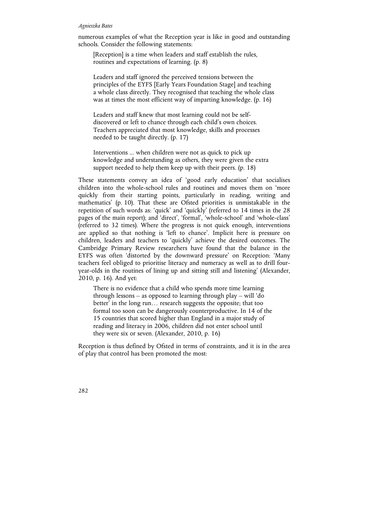numerous examples of what the Reception year is like in good and outstanding schools. Consider the following statements:

[Reception] is a time when leaders and staff establish the rules, routines and expectations of learning. (p. 8)

Leaders and staff ignored the perceived tensions between the principles of the EYFS [Early Years Foundation Stage] and teaching a whole class directly. They recognised that teaching the whole class was at times the most efficient way of imparting knowledge. (p. 16)

Leaders and staff knew that most learning could not be selfdiscovered or left to chance through each child's own choices. Teachers appreciated that most knowledge, skills and processes needed to be taught directly. (p. 17)

Interventions ... when children were not as quick to pick up knowledge and understanding as others, they were given the extra support needed to help them keep up with their peers. (p. 18)

These statements convey an idea of 'good early education' that socialises children into the whole-school rules and routines and moves them on 'more quickly from their starting points, particularly in reading, writing and mathematics' (p. 10). That these are Ofsted priorities is unmistakable in the repetition of such words as: 'quick' and 'quickly' (referred to 14 times in the 28 pages of the main report); and 'direct', 'formal', 'whole-school' and 'whole-class' (referred to 32 times). Where the progress is not quick enough, interventions are applied so that nothing is 'left to chance'. Implicit here is pressure on children, leaders and teachers to 'quickly' achieve the desired outcomes. The Cambridge Primary Review researchers have found that the balance in the EYFS was often 'distorted by the downward pressure' on Reception: 'Many teachers feel obliged to prioritise literacy and numeracy as well as to drill fouryear-olds in the routines of lining up and sitting still and listening' (Alexander, 2010, p. 16). And yet:

There is no evidence that a child who spends more time learning through lessons – as opposed to learning through play – will 'do better' in the long run… research suggests the opposite; that too formal too soon can be dangerously counterproductive. In 14 of the 15 countries that scored higher than England in a major study of reading and literacy in 2006, children did not enter school until they were six or seven. (Alexander, 2010, p. 16)

Reception is thus defined by Ofsted in terms of constraints, and it is in the area of play that control has been promoted the most: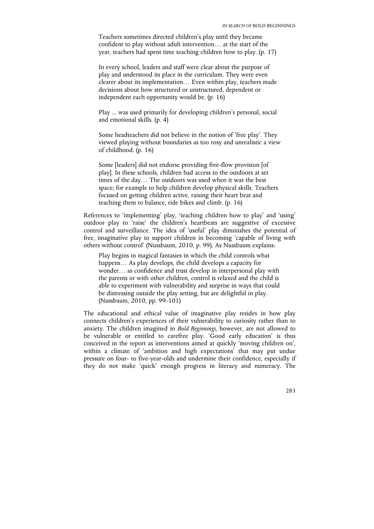Teachers sometimes directed children's play until they became confident to play without adult intervention… at the start of the year, teachers had spent time teaching children how to play. (p. 17)

In every school, leaders and staff were clear about the purpose of play and understood its place in the curriculum. They were even clearer about its implementation… Even within play, teachers made decisions about how structured or unstructured, dependent or independent each opportunity would be. (p. 16)

Play ... was used primarily for developing children's personal, social and emotional skills. (p. 4)

Some headteachers did not believe in the notion of 'free play'. They viewed playing without boundaries as too rosy and unrealistic a view of childhood. (p. 16)

Some [leaders] did not endorse providing free-flow provision [of play]. In these schools, children had access to the outdoors at set times of the day… The outdoors was used when it was the best space; for example to help children develop physical skills. Teachers focused on getting children active, raising their heart beat and teaching them to balance, ride bikes and climb. (p. 16)

References to 'implementing' play, 'teaching children how to play' and 'using' outdoor play to 'raise' the children's heartbeats are suggestive of excessive control and surveillance. The idea of 'useful' play diminishes the potential of free, imaginative play to support children in becoming 'capable of living with others without control' (Nussbaum, 2010, p. 99). As Nussbaum explains:

Play begins in magical fantasies in which the child controls what happens... As play develops, the child develops a capacity for wonder… as confidence and trust develop in interpersonal play with the parents or with other children, control is relaxed and the child is able to experiment with vulnerability and surprise in ways that could be distressing outside the play setting, but are delightful in play. (Nussbaum, 2010, pp. 99-101)

The educational and ethical value of imaginative play resides in how play connects children's experiences of their vulnerability to curiosity rather than to anxiety. The children imagined in *Bold Beginnings*, however, are not allowed to be vulnerable or entitled to carefree play. 'Good early education' is thus conceived in the report as interventions aimed at quickly 'moving children on', within a climate of 'ambition and high expectations' that may put undue pressure on four- to five-year-olds and undermine their confidence, especially if they do not make 'quick' enough progress in literacy and numeracy. The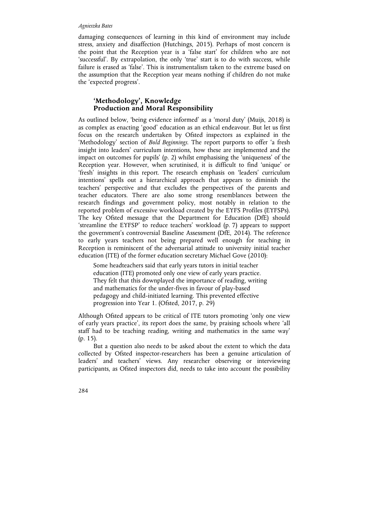damaging consequences of learning in this kind of environment may include stress, anxiety and disaffection (Hutchings, 2015). Perhaps of most concern is the point that the Reception year is a 'false start' for children who are not 'successful'. By extrapolation, the only 'true' start is to do with success, while failure is erased as 'false'. This is instrumentalism taken to the extreme based on the assumption that the Reception year means nothing if children do not make the 'expected progress'.

# **'Methodology', Knowledge Production and Moral Responsibility**

As outlined below, 'being evidence informed' as a 'moral duty' (Muijs, 2018) is as complex as enacting 'good' education as an ethical endeavour. But let us first focus on the research undertaken by Ofsted inspectors as explained in the 'Methodology' section of *Bold Beginnings*. The report purports to offer 'a fresh insight into leaders' curriculum intentions, how these are implemented and the impact on outcomes for pupils' (p. 2) whilst emphasising the 'uniqueness' of the Reception year. However, when scrutinised, it is difficult to find 'unique' or 'fresh' insights in this report. The research emphasis on 'leaders' curriculum intentions' spells out a hierarchical approach that appears to diminish the teachers' perspective and that excludes the perspectives of the parents and teacher educators. There are also some strong resemblances between the research findings and government policy, most notably in relation to the reported problem of excessive workload created by the EYFS Profiles (EYFSPs). The key Ofsted message that the Department for Education (DfE) should 'streamline the EYFSP' to reduce teachers' workload (p. 7) appears to support the government's controversial Baseline Assessment (DfE, 2014). The reference to early years teachers not being prepared well enough for teaching in Reception is reminiscent of the adversarial attitude to university initial teacher education (ITE) of the former education secretary Michael Gove (2010):

Some headteachers said that early years tutors in initial teacher education (ITE) promoted only one view of early years practice. They felt that this downplayed the importance of reading, writing and mathematics for the under-fives in favour of play-based pedagogy and child-initiated learning. This prevented effective progression into Year 1. (Ofsted, 2017, p. 29)

Although Ofsted appears to be critical of ITE tutors promoting 'only one view of early years practice', its report does the same, by praising schools where 'all staff had to be teaching reading, writing and mathematics in the same way' (p. 15).

But a question also needs to be asked about the extent to which the data collected by Ofsted inspector-researchers has been a genuine articulation of leaders' and teachers' views. Any researcher observing or interviewing participants, as Ofsted inspectors did, needs to take into account the possibility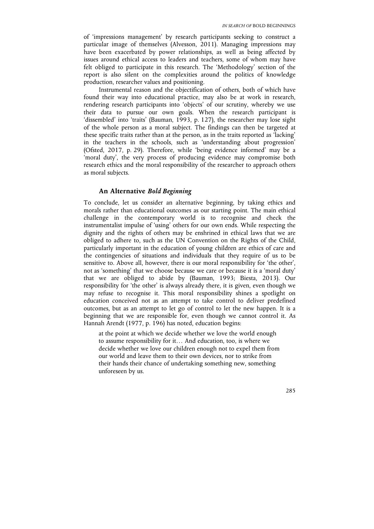of 'impressions management' by research participants seeking to construct a particular image of themselves (Alvesson, 2011). Managing impressions may have been exacerbated by power relationships, as well as being affected by issues around ethical access to leaders and teachers, some of whom may have felt obliged to participate in this research. The 'Methodology' section of the report is also silent on the complexities around the politics of knowledge production, researcher values and positioning.

Instrumental reason and the objectification of others, both of which have found their way into educational practice, may also be at work in research, rendering research participants into 'objects' of our scrutiny, whereby we use their data to pursue our own goals. When the research participant is 'dissembled' into 'traits' (Bauman, 1993, p. 127), the researcher may lose sight of the whole person as a moral subject. The findings can then be targeted at these specific traits rather than at the person, as in the traits reported as 'lacking' in the teachers in the schools, such as 'understanding about progression' (Ofsted, 2017, p. 29). Therefore, while 'being evidence informed' may be a 'moral duty', the very process of producing evidence may compromise both research ethics and the moral responsibility of the researcher to approach others as moral subjects.

## **An Alternative** *Bold Beginning*

To conclude, let us consider an alternative beginning, by taking ethics and morals rather than educational outcomes as our starting point. The main ethical challenge in the contemporary world is to recognise and check the instrumentalist impulse of 'using' others for our own ends. While respecting the dignity and the rights of others may be enshrined in ethical laws that we are obliged to adhere to, such as the UN Convention on the Rights of the Child, particularly important in the education of young children are ethics of care and the contingencies of situations and individuals that they require of us to be sensitive to. Above all, however, there is our moral responsibility for 'the other', not as 'something' that we choose because we care or because it is a 'moral duty' that we are obliged to abide by (Bauman, 1993; Biesta, 2013). Our responsibility for 'the other' is always already there, it is given, even though we may refuse to recognise it. This moral responsibility shines a spotlight on education conceived not as an attempt to take control to deliver predefined outcomes, but as an attempt to let go of control to let the new happen. It is a beginning that we are responsible for, even though we cannot control it. As Hannah Arendt (1977, p. 196) has noted, education begins:

at the point at which we decide whether we love the world enough to assume responsibility for it… And education, too, is where we decide whether we love our children enough not to expel them from our world and leave them to their own devices, nor to strike from their hands their chance of undertaking something new, something unforeseen by us.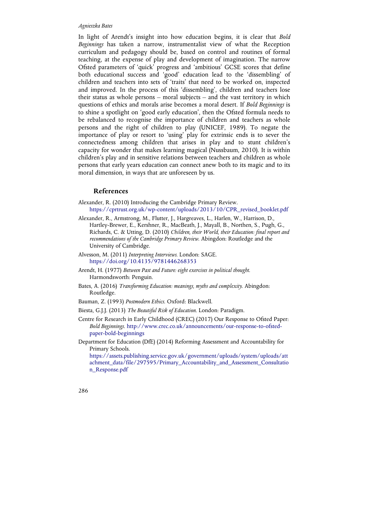In light of Arendt's insight into how education begins, it is clear that *Bold Beginnings* has taken a narrow, instrumentalist view of what the Reception curriculum and pedagogy should be, based on control and routines of formal teaching, at the expense of play and development of imagination. The narrow Ofsted parameters of 'quick' progress and 'ambitious' GCSE scores that define both educational success and 'good' education lead to the 'dissembling' of children and teachers into sets of 'traits' that need to be worked on, inspected and improved. In the process of this 'dissembling', children and teachers lose their status as whole persons – moral subjects – and the vast territory in which questions of ethics and morals arise becomes a moral desert. If *Bold Beginnings* is to shine a spotlight on 'good early education', then the Ofsted formula needs to be rebalanced to recognise the importance of children and teachers as whole persons and the right of children to play (UNICEF, 1989). To negate the importance of play or resort to 'using' play for extrinsic ends is to sever the connectedness among children that arises in play and to stunt children's capacity for wonder that makes learning magical (Nussbaum, 2010). It is within children's play and in sensitive relations between teachers and children as whole persons that early years education can connect anew both to its magic and to its moral dimension, in ways that are unforeseen by us.

## **References**

- Alexander, R. (2010) Introducing the Cambridge Primary Review. https://cprtrust.org.uk/wp-content/uploads/2013/10/CPR\_revised\_booklet.pdf
- Alexander, R., Armstrong, M., Flutter, J., Hargreaves, L., Harlen, W., Harrison, D., Hartley-Brewer, E., Kershner, R., MacBeath, J., Mayall, B., Northen, S., Pugh, G., Richards, C. & Utting, D. (2010) *Children, their World, their Education: final report and recommendations of the Cambridge Primary Review*. Abingdon: Routledge and the University of Cambridge.
- Alvesson, M. (2011) *Interpreting Interviews*. London: SAGE. https://doi.org/10.4135/9781446268353
- Arendt, H. (1977) *Between Past and Future: eight exercises in political thought*. Harmondsworth: Penguin.
- Bates, A. (2016) *Transforming Education: meanings, myths and complexity*. Abingdon: Routledge.
- Bauman, Z. (1993) *Postmodern Ethics*. Oxford: Blackwell.
- Biesta, G.J.J. (2013) *The Beautiful Risk of Education*. London: Paradigm.
- Centre for Research in Early Childhood (CREC) (2017) Our Response to Ofsted Paper: *Bold Beginnings*. http://www.crec.co.uk/announcements/our-response-to-ofstedpaper-bold-beginnings
- Department for Education (DfE) (2014) Reforming Assessment and Accountability for Primary Schools.

https://assets.publishing.service.gov.uk/government/uploads/system/uploads/att achment\_data/file/297595/Primary\_Accountability\_and\_Assessment\_Consultatio n\_Response.pdf

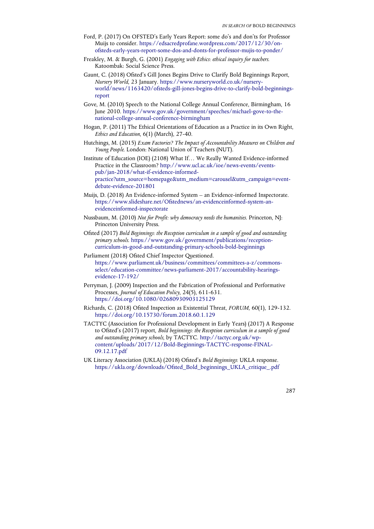- Ford, P. (2017) On OFSTED's Early Years Report: some do's and don'ts for Professor Muijs to consider. https://edsacredprofane.wordpress.com/2017/12/30/onofsteds-early-years-report-some-dos-and-donts-for-professor-mujis-to-ponder/
- Freakley, M. & Burgh, G. (2001) *Engaging with Ethics: ethical inquiry for teachers*. Katoombak: Social Science Press.
- Gaunt, C. (2018) Ofsted's Gill Jones Begins Drive to Clarify Bold Beginnings Report, *Nursery World*, 23 January. https://www.nurseryworld.co.uk/nurseryworld/news/1163420/ofsteds-gill-jones-begins-drive-to-clarify-bold-beginningsreport
- Gove, M. (2010) Speech to the National College Annual Conference, Birmingham, 16 June 2010. https://www.gov.uk/government/speeches/michael-gove-to-thenational-college-annual-conference-birmingham
- Hogan, P. (2011) The Ethical Orientations of Education as a Practice in its Own Right, *Ethics and Education*, 6(1) (March), 27-40.
- Hutchings, M. (2015) *Exam Factories? The Impact of Accountability Measures on Children and Young People*. London: National Union of Teachers (NUT).
- Institute of Education (IOE) (2108) What If… We Really Wanted Evidence-informed Practice in the Classroom? http://www.ucl.ac.uk/ioe/news-events/eventspub/jan-2018/what-if-evidence-informedpractice?utm\_source=homepage&utm\_medium=carousel&utm\_campaign=eventdebate-evidence-201801
- Muijs, D. (2018) An Evidence-informed System an Evidence-informed Inspectorate. https://www.slideshare.net/Ofstednews/an-evidenceinformed-system-anevidenceinformed-inspectorate
- Nussbaum, M. (2010) *Not for Profit: why democracy needs the humanities*. Princeton, NJ: Princeton University Press.
- Ofsted (2017) *Bold Beginnings: the Reception curriculum in a sample of good and outstanding primary schools*. https://www.gov.uk/government/publications/receptioncurriculum-in-good-and-outstanding-primary-schools-bold-beginnings
- Parliament (2018) Ofsted Chief Inspector Questioned. https://www.parliament.uk/business/committees/committees-a-z/commonsselect/education-committee/news-parliament-2017/accountability-hearingsevidence-17-192/
- Perryman, J. (2009) Inspection and the Fabrication of Professional and Performative Processes, *Journal of Education Policy*, 24(5), 611-631. https://doi.org/10.1080/02680930903125129
- Richards, C. (2018) Ofsted Inspection as Existential Threat, *FORUM*, 60(1), 129-132. https://doi.org/10.15730/forum.2018.60.1.129
- TACTYC (Association for Professional Development in Early Years) (2017) A Response to Ofsted's (2017) report, *Bold beginnings: the Reception curriculum in a sample of good and outstanding primary schools*, by TACTYC. http://tactyc.org.uk/wpcontent/uploads/2017/12/Bold-Beginnings-TACTYC-response-FINAL-09.12.17.pdf
- UK Literacy Association (UKLA) (2018) Ofsted's *Bold Beginnings*: UKLA response. https://ukla.org/downloads/Ofsted\_Bold\_beginnings\_UKLA\_critique\_.pdf